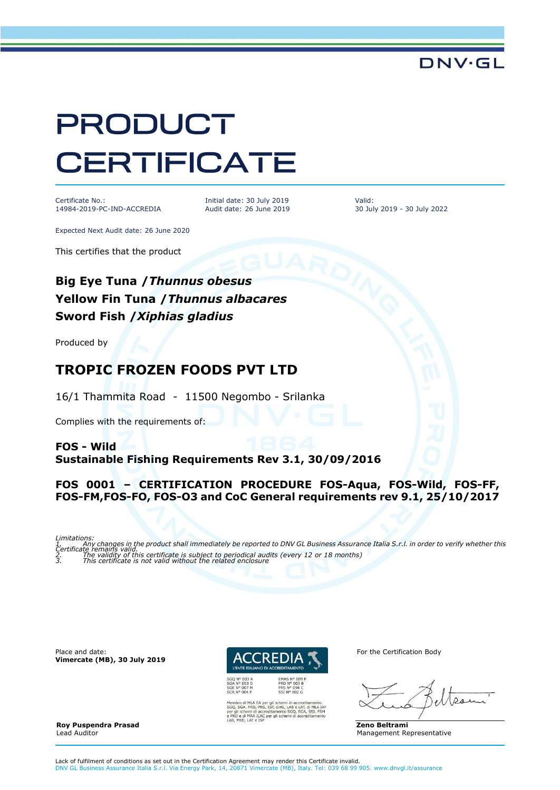# **PRODUCT CERTIFICATE**

Certificate No.: 14984-2019-PC-IND-ACCREDIA

Initial date: 30 July 2019 Audit date: 26 June 2019 Valid: 30 July 2019 - 30 July 2022

DNV·GL

Expected Next Audit date: 26 June 2020

This certifies that the product

## **Big Eye Tuna /***Thunnus obesus* **Yellow Fin Tuna /***Thunnus albacares* **Sword Fish /***Xiphias gladius*

Produced by

## **TROPIC FROZEN FOODS PVT LTD**

16/1 Thammita Road - 11500 Negombo - Srilanka

Complies with the requirements of:

#### **FOS - Wild Sustainable Fishing Requirements Rev 3.1, 30/09/2016**

#### **FOS 0001 – CERTIFICATION PROCEDURE FOS-Aqua, FOS-Wild, FOS-FF, FOS-FM,FOS-FO, FOS-O3 and CoC General requirements rev 9.1, 25/10/2017**

Limitations:<br>1. Final Any changes in the product shall immediately be reported to DNV GL Business Assurance Italia S.r.I. in order to verify whether this<br>2. Final explicity of this certificate is subject to periodical audi

Place and date: **Vimercate (MB), 30 July 2019**



EA per gli schemi di accreditamento<br>PRS, ISP, GHG, LAB e LAT, di MLA IAF<br>accreditamento SGQ, SGA, SSI, FSM<br>ILAC per gli schemi di accreditamento

For the Certification Body

**Zeno Beltrami** Management Representative

**Roy Puspendra Prasad**  Lead Auditor

Lack of fulfilment of conditions as set out in the Certification Agreement may render this Certificate invalid. DNV GL Business Assurance Italia S.r.l. Via Energy Park, 14, 20871 Vimercate (MB), Italy. Tel: 039 68 99 905. www.dnvgl.it/assurance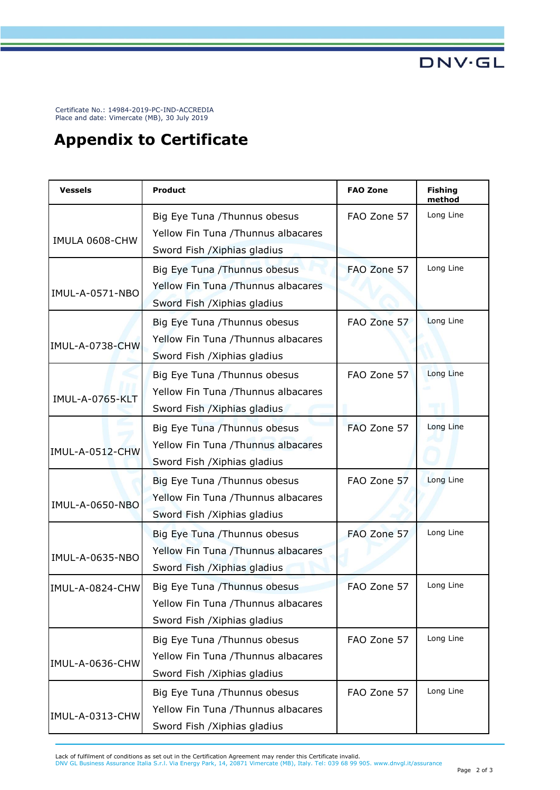Certificate No.: 14984-2019-PC-IND-ACCREDIA Place and date: Vimercate (MB), 30 July 2019

# **Appendix to Certificate**

| <b>Vessels</b>         | Product                                                                                              | <b>FAO Zone</b> | <b>Fishing</b><br>method |
|------------------------|------------------------------------------------------------------------------------------------------|-----------------|--------------------------|
| IMULA 0608-CHW         | Big Eye Tuna / Thunnus obesus<br>Yellow Fin Tuna /Thunnus albacares<br>Sword Fish / Xiphias gladius  | FAO Zone 57     | Long Line                |
| IMUL-A-0571-NBO        | Big Eye Tuna / Thunnus obesus<br>Yellow Fin Tuna /Thunnus albacares<br>Sword Fish / Xiphias gladius  | FAO Zone 57     | Long Line                |
| IMUL-A-0738-CHW        | Big Eye Tuna / Thunnus obesus<br>Yellow Fin Tuna / Thunnus albacares<br>Sword Fish / Xiphias gladius | FAO Zone 57     | Long Line                |
| <b>IMUL-A-0765-KLT</b> | Big Eye Tuna / Thunnus obesus<br>Yellow Fin Tuna /Thunnus albacares<br>Sword Fish / Xiphias gladius  | FAO Zone 57     | Long Line                |
| IMUL-A-0512-CHW        | Big Eye Tuna / Thunnus obesus<br>Yellow Fin Tuna /Thunnus albacares<br>Sword Fish / Xiphias gladius  | FAO Zone 57     | Long Line                |
| <b>IMUL-A-0650-NBO</b> | Big Eye Tuna / Thunnus obesus<br>Yellow Fin Tuna / Thunnus albacares<br>Sword Fish / Xiphias gladius | FAO Zone 57     | Long Line                |
| IMUL-A-0635-NBO        | Big Eye Tuna / Thunnus obesus<br>Yellow Fin Tuna / Thunnus albacares<br>Sword Fish / Xiphias gladius | FAO Zone 57     | Long Line                |
| IMUL-A-0824-CHW        | Big Eye Tuna / Thunnus obesus<br>Yellow Fin Tuna /Thunnus albacares<br>Sword Fish / Xiphias gladius  | FAO Zone 57     | Long Line                |
| IMUL-A-0636-CHW        | Big Eye Tuna / Thunnus obesus<br>Yellow Fin Tuna / Thunnus albacares<br>Sword Fish / Xiphias gladius | FAO Zone 57     | Long Line                |
| IMUL-A-0313-CHW        | Big Eye Tuna / Thunnus obesus<br>Yellow Fin Tuna /Thunnus albacares<br>Sword Fish / Xiphias gladius  | FAO Zone 57     | Long Line                |

Lack of fulfilment of conditions as set out in the Certification Agreement may render this Certificate invalid.<br>DNV GL Business Assurance Italia S.r.l. Via Energy Park, 14, 20871 Vimercate (MB), Italy. Tel: 039 68 99 905.

**DNV·GL**